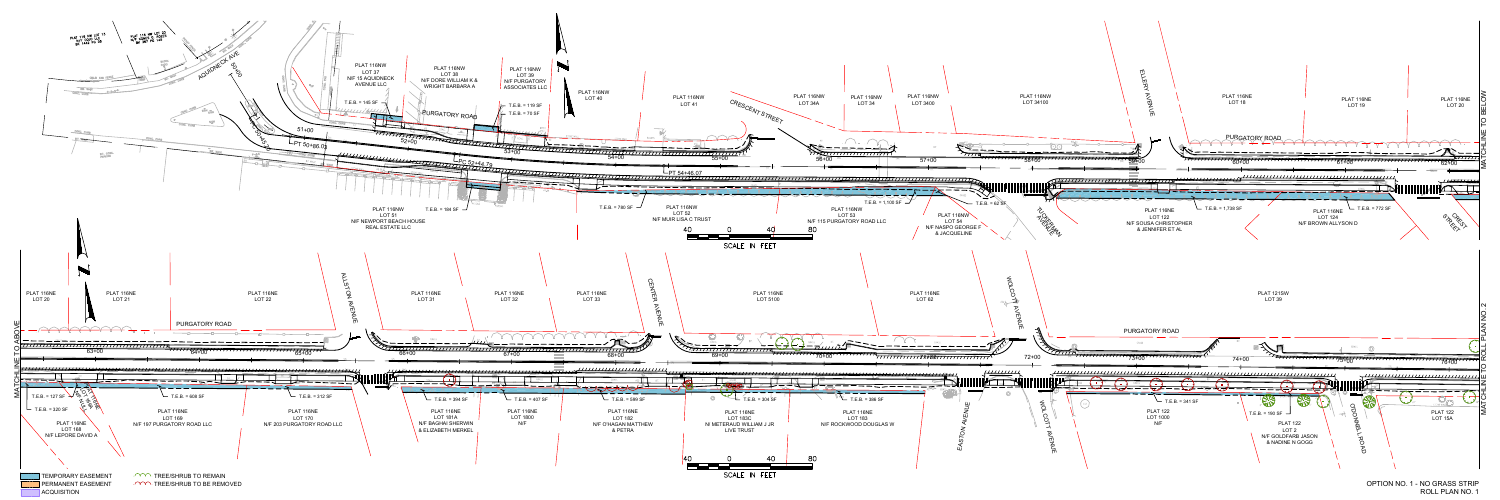